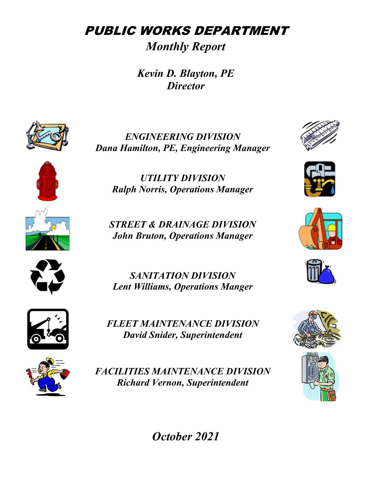PUBLIC WORKS DEPARTMENT

*Monthly Report*

*Kevin D. Blayton, PE Director*



*ENGINEERING DIVISION Dana Hamilton, PE, Engineering Manager* 



*UTILITY DIVISION Ralph Norris, Operations Manager*

*STREET & DRAINAGE DIVISION John Bruton, Operations Manager*



*SANITATION DIVISION Lent Williams, Operations Manger*



*FLEET MAINTENANCE DIVISION David Snider, Superintendent*



*FACILITIES MAINTENANCE DIVISION Richard Vernon, Superintendent*













*October 2021*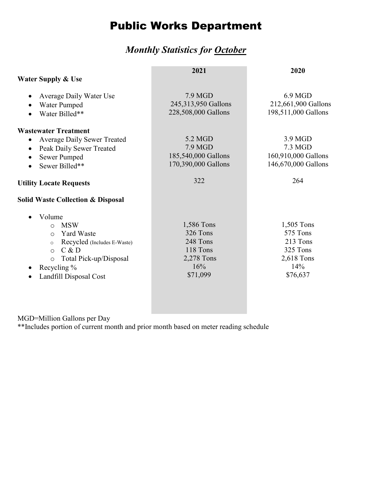# Public Works Department

#### *Monthly Statistics for October*

|                                                                                                                                                                                                             | 2021                                                                            | 2020                                                                            |
|-------------------------------------------------------------------------------------------------------------------------------------------------------------------------------------------------------------|---------------------------------------------------------------------------------|---------------------------------------------------------------------------------|
| <b>Water Supply &amp; Use</b>                                                                                                                                                                               |                                                                                 |                                                                                 |
| Average Daily Water Use<br>Water Pumped<br>Water Billed**                                                                                                                                                   | 7.9 MGD<br>245,313,950 Gallons<br>228,508,000 Gallons                           | 6.9 MGD<br>212,661,900 Gallons<br>198,511,000 Gallons                           |
| <b>Wastewater Treatment</b><br><b>Average Daily Sewer Treated</b><br>Peak Daily Sewer Treated<br>Sewer Pumped<br>Sewer Billed**                                                                             | 5.2 MGD<br>7.9 MGD<br>185,540,000 Gallons<br>170,390,000 Gallons                | 3.9 MGD<br>7.3 MGD<br>160,910,000 Gallons<br>146,670,000 Gallons                |
| <b>Utility Locate Requests</b>                                                                                                                                                                              | 322                                                                             | 264                                                                             |
| <b>Solid Waste Collection &amp; Disposal</b>                                                                                                                                                                |                                                                                 |                                                                                 |
| Volume<br><b>MSW</b><br>$\circ$<br><b>Yard Waste</b><br>$\circ$<br>Recycled (Includes E-Waste)<br>$\circ$<br>C & D<br>$\circ$<br>Total Pick-up/Disposal<br>$\circ$<br>Recycling %<br>Landfill Disposal Cost | 1,586 Tons<br>326 Tons<br>248 Tons<br>118 Tons<br>2,278 Tons<br>16%<br>\$71,099 | 1,505 Tons<br>575 Tons<br>213 Tons<br>325 Tons<br>2,618 Tons<br>14%<br>\$76,637 |

MGD=Million Gallons per Day

\*\*Includes portion of current month and prior month based on meter reading schedule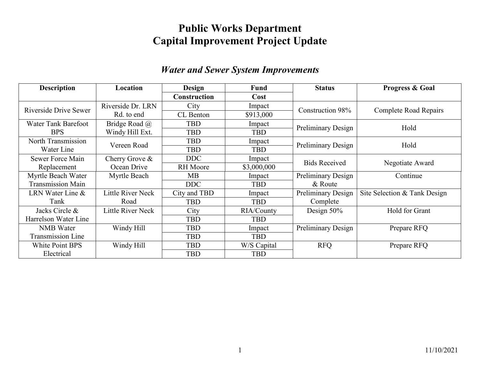### **Public Works Department Capital Improvement Project Update**

#### *Water and Sewer System Improvements*

| <b>Description</b>         | Location                 | <b>Design</b>       | <b>Fund</b> | <b>Status</b>             | Progress & Goal              |
|----------------------------|--------------------------|---------------------|-------------|---------------------------|------------------------------|
|                            |                          | <b>Construction</b> | Cost        |                           |                              |
| Riverside Drive Sewer      | Riverside Dr. LRN        | City                | Impact      | Construction 98%          | <b>Complete Road Repairs</b> |
|                            | Rd. to end               | CL Benton           | \$913,000   |                           |                              |
| <b>Water Tank Barefoot</b> | Bridge Road @            | TBD                 | Impact      | <b>Preliminary Design</b> | Hold                         |
| <b>BPS</b>                 | Windy Hill Ext.          | <b>TBD</b>          | <b>TBD</b>  |                           |                              |
| North Transmission         | Vereen Road              | <b>TBD</b>          | Impact      | <b>Preliminary Design</b> | Hold                         |
| Water Line                 |                          | <b>TBD</b>          | <b>TBD</b>  |                           |                              |
| Sewer Force Main           | Cherry Grove $\&$        | <b>DDC</b>          | Impact      | <b>Bids Received</b>      | Negotiate Award              |
| Replacement                | Ocean Drive              | <b>RH</b> Moore     | \$3,000,000 |                           |                              |
| Myrtle Beach Water         | Myrtle Beach             | MB                  | Impact      | Preliminary Design        | Continue                     |
| <b>Transmission Main</b>   |                          | <b>DDC</b>          | TBD         | & Route                   |                              |
| LRN Water Line $&$         | Little River Neck        | City and TBD        | Impact      | <b>Preliminary Design</b> | Site Selection & Tank Design |
| Tank                       | Road                     | TBD                 | TBD         | Complete                  |                              |
| Jacks Circle &             | <b>Little River Neck</b> | City                | RIA/County  | Design $50\%$             | Hold for Grant               |
| Harrelson Water Line       |                          | <b>TBD</b>          | <b>TBD</b>  |                           |                              |
| <b>NMB</b> Water           | Windy Hill               | <b>TBD</b>          | Impact      | Preliminary Design        | Prepare RFQ                  |
| Transmission Line          |                          | <b>TBD</b>          | <b>TBD</b>  |                           |                              |
| White Point BPS            | Windy Hill               | TBD                 | W/S Capital | <b>RFQ</b>                | Prepare RFQ                  |
| Electrical                 |                          | TBD                 | TBD         |                           |                              |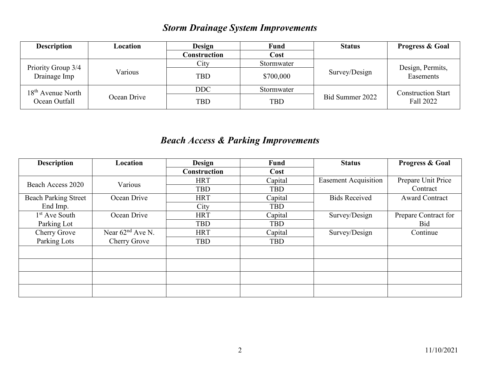### *Storm Drainage System Improvements*

| <b>Description</b>            | Location    | Design       | Fund       | <b>Status</b>   | <b>Progress &amp; Goal</b>             |  |
|-------------------------------|-------------|--------------|------------|-----------------|----------------------------------------|--|
|                               |             | Construction | Cost       |                 |                                        |  |
| Priority Group 3/4            |             | City         | Stormwater |                 | Design, Permits,<br>Easements          |  |
| Drainage Imp                  | Various     | <b>TBD</b>   | \$700,000  | Survey/Design   |                                        |  |
| 18 <sup>th</sup> Avenue North |             | <b>DDC</b>   | Stormwater |                 | <b>Construction Start</b><br>Fall 2022 |  |
| Ocean Outfall                 | Ocean Drive | <b>TBD</b>   | <b>TBD</b> | Bid Summer 2022 |                                        |  |

### *Beach Access & Parking Improvements*

| <b>Description</b>          | Location           | <b>Design</b>       | Fund       | <b>Status</b>               | Progress & Goal       |
|-----------------------------|--------------------|---------------------|------------|-----------------------------|-----------------------|
|                             |                    | <b>Construction</b> | Cost       |                             |                       |
| Beach Access 2020           | Various            | <b>HRT</b>          | Capital    | <b>Easement Acquisition</b> | Prepare Unit Price    |
|                             |                    | <b>TBD</b>          | <b>TBD</b> |                             | Contract              |
| <b>Beach Parking Street</b> | Ocean Drive        | <b>HRT</b>          | Capital    | <b>Bids Received</b>        | <b>Award Contract</b> |
| End Imp.                    |                    | City                | <b>TBD</b> |                             |                       |
| $1st$ Ave South             | Ocean Drive        | <b>HRT</b>          | Capital    | Survey/Design               | Prepare Contract for  |
| Parking Lot                 |                    | <b>TBD</b>          | <b>TBD</b> |                             | Bid                   |
| Cherry Grove                | Near $62nd$ Ave N. | <b>HRT</b>          | Capital    | Survey/Design               | Continue              |
| Parking Lots                | Cherry Grove       | <b>TBD</b>          | <b>TBD</b> |                             |                       |
|                             |                    |                     |            |                             |                       |
|                             |                    |                     |            |                             |                       |
|                             |                    |                     |            |                             |                       |
|                             |                    |                     |            |                             |                       |
|                             |                    |                     |            |                             |                       |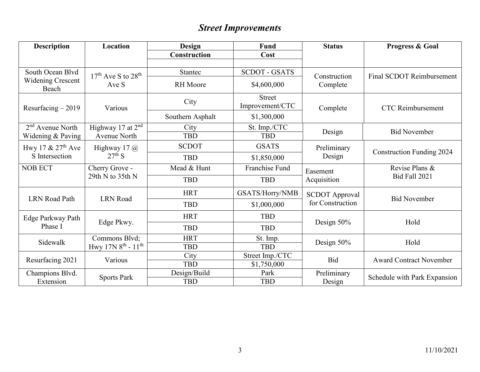## *Street Improvements*

| <b>Description</b>         | Location                    | <b>Design</b>    | <b>Fund</b>                      | <b>Status</b>         | Progress & Goal                  |  |
|----------------------------|-----------------------------|------------------|----------------------------------|-----------------------|----------------------------------|--|
|                            |                             | Construction     | Cost                             |                       |                                  |  |
|                            |                             |                  |                                  |                       |                                  |  |
| South Ocean Blvd           | $17th$ Ave S to $28th$      | Stantec          | <b>SCDOT - GSATS</b>             | Construction          | Final SCDOT Reimbursement        |  |
| Widening Crescent<br>Beach | Ave S                       | <b>RH</b> Moore  | \$4,600,000                      | Complete              |                                  |  |
| Resurfacing $-2019$        | Various                     | City             | <b>Street</b><br>Improvement/CTC | Complete              | <b>CTC</b> Reimbursement         |  |
|                            |                             | Southern Asphalt | \$1,300,000                      |                       |                                  |  |
| $2nd$ Avenue North         | Highway 17 at $2nd$         | City             | St. Imp./CTC                     |                       | <b>Bid November</b>              |  |
| Widening & Paving          | <b>Avenue North</b>         | <b>TBD</b>       | <b>TBD</b>                       | Design                |                                  |  |
| Hwy 17 $& 27th$ Ave        | Highway 17 $\omega$         | <b>SCDOT</b>     | <b>GSATS</b>                     | Preliminary           | <b>Construction Funding 2024</b> |  |
| S Intersection             | $27^{\text{th}}$ S          | <b>TBD</b>       | \$1,850,000                      | Design                |                                  |  |
| <b>NOB ECT</b>             | Cherry Grove -              | Mead & Hunt      | Franchise Fund                   | Easement              | Revise Plans &                   |  |
|                            | 29th N to 35th N            | <b>TBD</b>       | <b>TBD</b>                       | Acquisition           | <b>Bid Fall 2021</b>             |  |
| <b>LRN</b> Road Path       | <b>LRN</b> Road             | <b>HRT</b>       | GSATS/Horry/NMB                  | <b>SCDOT</b> Approval | <b>Bid November</b>              |  |
|                            |                             | <b>TBD</b>       | \$1,000,000                      | for Construction      |                                  |  |
| Edge Parkway Path          | Edge Pkwy.                  | <b>HRT</b>       | <b>TBD</b>                       | Design 50%            | Hold                             |  |
| Phase I                    |                             | <b>TBD</b>       | <b>TBD</b>                       |                       |                                  |  |
| Sidewalk                   | Commons Blvd;               | <b>HRT</b>       | St. Imp.                         | Design 50%            | Hold                             |  |
|                            | Hwy $17N8^{th}$ - $11^{th}$ | <b>TBD</b>       | <b>TBD</b>                       |                       |                                  |  |
| Resurfacing 2021           | Various                     | City             | Street Imp./CTC                  | <b>Bid</b>            | <b>Award Contract November</b>   |  |
|                            |                             | <b>TBD</b>       | \$1,750,000                      |                       |                                  |  |
| Champions Blvd.            | <b>Sports Park</b>          | Design/Build     | Park                             | Preliminary           | Schedule with Park Expansion     |  |
| Extension                  |                             | <b>TBD</b>       | <b>TBD</b>                       | Design                |                                  |  |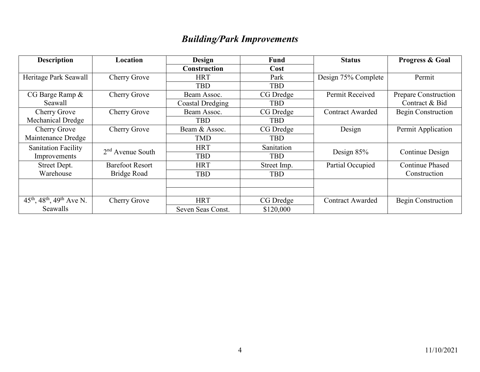## *Building/Park Improvements*

| <b>Description</b>                                            | Location               | <b>Design</b>       | <b>Fund</b> | <b>Status</b>           | <b>Progress &amp; Goal</b> |  |
|---------------------------------------------------------------|------------------------|---------------------|-------------|-------------------------|----------------------------|--|
|                                                               |                        | <b>Construction</b> | Cost        |                         |                            |  |
| Heritage Park Seawall                                         | Cherry Grove           | <b>HRT</b>          | Park        | Design 75% Complete     | Permit                     |  |
|                                                               |                        | <b>TBD</b>          | <b>TBD</b>  |                         |                            |  |
| CG Barge Ramp &                                               | Cherry Grove           | Beam Assoc.         | CG Dredge   | Permit Received         | Prepare Construction       |  |
| Seawall                                                       |                        | Coastal Dredging    | <b>TBD</b>  |                         | Contract & Bid             |  |
| Cherry Grove                                                  | Cherry Grove           | Beam Assoc.         | CG Dredge   | <b>Contract Awarded</b> | Begin Construction         |  |
| Mechanical Dredge                                             |                        | <b>TBD</b>          | <b>TBD</b>  |                         |                            |  |
| Cherry Grove                                                  | Cherry Grove           | Beam & Assoc.       | CG Dredge   | Design                  | Permit Application         |  |
| Maintenance Dredge                                            |                        | <b>TMD</b>          | <b>TBD</b>  |                         |                            |  |
| <b>Sanitation Facility</b>                                    | $2nd$ Avenue South     | <b>HRT</b>          | Sanitation  |                         |                            |  |
| Improvements                                                  |                        | <b>TBD</b>          | <b>TBD</b>  | Design $85%$            | Continue Design            |  |
| Street Dept.                                                  | <b>Barefoot Resort</b> | <b>HRT</b>          | Street Imp. | Partial Occupied        | <b>Continue Phased</b>     |  |
| Warehouse                                                     | Bridge Road            | <b>TBD</b>          | <b>TBD</b>  |                         | Construction               |  |
|                                                               |                        |                     |             |                         |                            |  |
|                                                               |                        |                     |             |                         |                            |  |
| $45^{\text{th}}$ , $48^{\text{th}}$ , $49^{\text{th}}$ Ave N. | Cherry Grove           | <b>HRT</b>          | CG Dredge   | <b>Contract Awarded</b> | Begin Construction         |  |
| Seawalls                                                      |                        | Seven Seas Const.   | \$120,000   |                         |                            |  |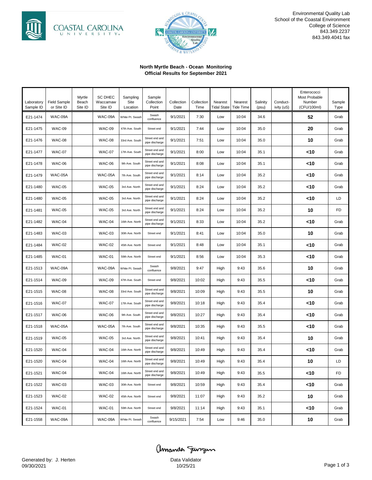



Environmental Quality Lab School of the Coastal Environment College of Science 843.349.2237 843.349.4041 fax

#### **North Myrtle Beach - Ocean Monitoring Official Results for September 2021**

| Laboratory<br>Sample ID | <b>Field Sample</b><br>or Site ID | Myrtle<br>Beach<br>Site ID | <b>SC DHEC</b><br>Waccamaw<br>Site ID | Sampling<br>Site<br>Location | Sample<br>Collection<br>Point    | Collection<br>Date | Collection<br>Time | Nearest<br><b>Tidal State</b> | Nearest<br><b>Tide Time</b> | Salinity<br>(psu) | Conduct-<br>ivity (uS) | Enterococci<br>Most Probable<br>Number<br>(CFU/100ml) | Sample<br>Type |
|-------------------------|-----------------------------------|----------------------------|---------------------------------------|------------------------------|----------------------------------|--------------------|--------------------|-------------------------------|-----------------------------|-------------------|------------------------|-------------------------------------------------------|----------------|
| E21-1474                | WAC-09A                           |                            | WAC-09A                               | White Pt. Swash              | Swash<br>confluence              | 9/1/2021           | 7:30               | Low                           | 10:04                       | 34.6              |                        | 52                                                    | Grab           |
| E21-1475                | WAC-09                            |                            | <b>WAC-09</b>                         | 47th Ave. South              | Street end                       | 9/1/2021           | 7:44               | Low                           | 10:04                       | 35.0              |                        | 20                                                    | Grab           |
| E21-1476                | WAC-08                            |                            | <b>WAC-08</b>                         | 33rd Ave. South              | Street end and<br>pipe discharge | 9/1/2021           | 7:51               | Low                           | 10:04                       | 35.0              |                        | 10                                                    | Grab           |
| E21-1477                | <b>WAC-07</b>                     |                            | <b>WAC-07</b>                         | 17th Ave. South              | Street end and<br>pipe discharge | 9/1/2021           | 8:00               | Low                           | 10:04                       | 35.1              |                        | <10                                                   | Grab           |
| E21-1478                | WAC-06                            |                            | <b>WAC-06</b>                         | 9th Ave. South               | Street end and<br>pipe discharge | 9/1/2021           | 8:08               | Low                           | 10:04                       | 35.1              |                        | <10                                                   | Grab           |
| E21-1479                | WAC-05A                           |                            | WAC-05A                               | 7th Ave. South               | Street end and<br>pipe discharge | 9/1/2021           | 8:14               | Low                           | 10:04                       | 35.2              |                        | <10                                                   | Grab           |
| E21-1480                | <b>WAC-05</b>                     |                            | <b>WAC-05</b>                         | 3rd Ave. North               | Street end and<br>pipe discharge | 9/1/2021           | 8:24               | Low                           | 10:04                       | 35.2              |                        | <10                                                   | Grab           |
| E21-1480                | <b>WAC-05</b>                     |                            | <b>WAC-05</b>                         | 3rd Ave. North               | Street end and<br>pipe discharge | 9/1/2021           | 8:24               | Low                           | 10:04                       | 35.2              |                        | <10                                                   | LD             |
| E21-1481                | <b>WAC-05</b>                     |                            | <b>WAC-05</b>                         | 3rd Ave. North               | Street end and<br>pipe discharge | 9/1/2021           | 8:24               | Low                           | 10:04                       | 35.2              |                        | 10                                                    | FD             |
| E21-1482                | WAC-04                            |                            | WAC-04                                | 16th Ave. North              | Street end and<br>pipe discharge | 9/1/2021           | 8:33               | Low                           | 10:04                       | 35.2              |                        | <10                                                   | Grab           |
| E21-1483                | <b>WAC-03</b>                     |                            | <b>WAC-03</b>                         | 30th Ave. North              | Street end                       | 9/1/2021           | 8:41               | Low                           | 10:04                       | 35.0              |                        | 10                                                    | Grab           |
| E21-1484                | <b>WAC-02</b>                     |                            | <b>WAC-02</b>                         | 45th Ave. North              | Street end                       | 9/1/2021           | 8:48               | Low                           | 10:04                       | 35.1              |                        | <10                                                   | Grab           |
| E21-1485                | <b>WAC-01</b>                     |                            | <b>WAC-01</b>                         | 59th Ave. North              | Street end                       | 9/1/2021           | 8:56               | Low                           | 10:04                       | 35.3              |                        | <10                                                   | Grab           |
| E21-1513                | WAC-09A                           |                            | WAC-09A                               | White Pt. Swash              | Swash<br>confluence              | 9/8/2021           | 9:47               | High                          | 9:43                        | 35.6              |                        | 10                                                    | Grab           |
| E21-1514                | <b>WAC-09</b>                     |                            | <b>WAC-09</b>                         | 47th Ave. South              | Street end                       | 9/8/2021           | 10:02              | High                          | 9:43                        | 35.5              |                        | <10                                                   | Grab           |
| E21-1515                | <b>WAC-08</b>                     |                            | <b>WAC-08</b>                         | 33rd Ave. South              | Street end and<br>pipe discharge | 9/8/2021           | 10:09              | High                          | 9:43                        | 35.5              |                        | 10                                                    | Grab           |
| E21-1516                | <b>WAC-07</b>                     |                            | <b>WAC-07</b>                         | 17th Ave. South              | Street end and<br>pipe discharge | 9/8/2021           | 10:18              | High                          | 9:43                        | 35.4              |                        | <10                                                   | Grab           |
| E21-1517                | WAC-06                            |                            | <b>WAC-06</b>                         | 9th Ave. South               | Street end and<br>pipe discharge | 9/8/2021           | 10:27              | High                          | 9:43                        | 35.4              |                        | <10                                                   | Grab           |
| E21-1518                | WAC-05A                           |                            | WAC-05A                               | 7th Ave. South               | Street end and<br>pipe discharge | 9/8/2021           | 10:35              | High                          | 9:43                        | 35.5              |                        | <10                                                   | Grab           |
| E21-1519                | <b>WAC-05</b>                     |                            | <b>WAC-05</b>                         | 3rd Ave. North               | Street end and<br>pipe discharge | 9/8/2021           | 10:41              | High                          | 9:43                        | 35.4              |                        | 10                                                    | Grab           |
| E21-1520                | WAC-04                            |                            | WAC-04                                | 16th Ave. North              | Street end and<br>pipe discharge | 9/8/2021           | 10:49              | High                          | 9:43                        | 35.4              |                        | <10                                                   | Grab           |
| E21-1520                | WAC-04                            |                            | WAC-04                                | 16th Ave. North              | Street end and<br>pipe discharge | 9/8/2021           | 10:49              | High                          | 9:43                        | 35.4              |                        | 10                                                    | LD             |
| E21-1521                | WAC-04                            |                            | WAC-04                                | 16th Ave. North              | Street end and<br>pipe discharge | 9/8/2021           | 10:49              | High                          | 9:43                        | 35.5              |                        | <10                                                   | <b>FD</b>      |
| E21-1522                | <b>WAC-03</b>                     |                            | <b>WAC-03</b>                         | 30th Ave. North              | Street end                       | 9/8/2021           | 10:59              | High                          | 9:43                        | 35.4              |                        | <10                                                   | Grab           |
| E21-1523                | <b>WAC-02</b>                     |                            | <b>WAC-02</b>                         | 45th Ave. North              | Street end                       | 9/8/2021           | 11:07              | High                          | 9:43                        | 35.2              |                        | 10                                                    | Grab           |
| E21-1524                | <b>WAC-01</b>                     |                            | <b>WAC-01</b>                         | 59th Ave. North              | Street end                       | 9/8/2021           | 11:14              | High                          | 9:43                        | 35.1              |                        | <10                                                   | Grab           |
| E21-1558                | WAC-09A                           |                            | WAC-09A                               | White Pt. Swash              | Swash<br>confluence              | 9/15/2021          | 7:54               | Low                           | 9:46                        | 35.0              |                        | 10                                                    | Grab           |

amanda Janzun Data Validator<br>10/25/21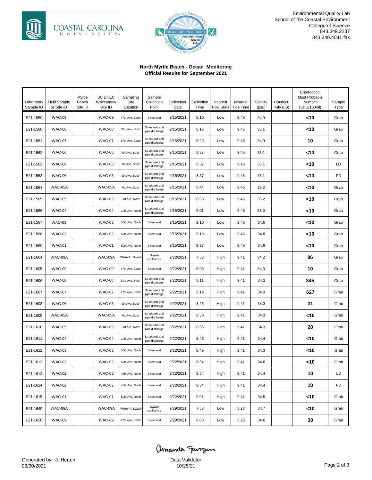



Environmental Quality Lab School of the Coastal Environment College of Science 843.349.2237 843.349.4041 fax

#### **North Myrtle Beach - Ocean Monitoring Official Results for September 2021**

| Laboratory<br>Sample ID | <b>Field Sample</b><br>or Site ID | Myrtle<br>Beach<br>Site ID | <b>SC DHEC</b><br>Waccamaw<br>Site ID | Sampling<br>Site<br>Location | Sample<br>Collection<br>Point    | Collection<br>Date | Collection<br>Time | Nearest<br><b>Tidal State</b> | Nearest<br><b>Tide Time</b> | Salinity<br>(psu) | Conduct-<br>ivity (uS) | Enterococci<br>Most Probable<br>Number<br>(CFU/100ml) | Sample<br>Type |
|-------------------------|-----------------------------------|----------------------------|---------------------------------------|------------------------------|----------------------------------|--------------------|--------------------|-------------------------------|-----------------------------|-------------------|------------------------|-------------------------------------------------------|----------------|
| E21-1559                | <b>WAC-09</b>                     |                            | <b>WAC-09</b>                         | 47th Ave. South              | Street end                       | 9/15/2021          | 8:10               | Low                           | 9:46                        | 34.9              |                        | <10                                                   | Grab           |
| E21-1560                | <b>WAC-08</b>                     |                            | <b>WAC-08</b>                         | 33rd Ave. South              | Street end and<br>pipe discharge | 9/15/2021          | 8:18               | Low                           | 9:46                        | 35.1              |                        | 10>                                                   | Grab           |
| E21-1561                | <b>WAC-07</b>                     |                            | <b>WAC-07</b>                         | 17th Ave. South              | Street end and<br>pipe discharge | 9/15/2021          | 8:29               | Low                           | 9:46                        | 34.9              |                        | 10                                                    | Grab           |
| E21-1562                | WAC-06                            |                            | <b>WAC-06</b>                         | 9th Ave. South               | Street end and<br>pipe discharge | 9/15/2021          | 8:37               | Low                           | 9:46                        | 35.1              |                        | <10                                                   | Grab           |
| E21-1562                | WAC-06                            |                            | <b>WAC-06</b>                         | 9th Ave. South               | Street end and<br>pipe discharge | 9/15/2021          | 8:37               | Low                           | 9:46                        | 35.1              |                        | 10>                                                   | LD             |
| E21-1563                | <b>WAC-06</b>                     |                            | <b>WAC-06</b>                         | 9th Ave. South               | Street end and<br>pipe discharge | 9/15/2021          | 8:37               | Low                           | 9:46                        | 35.1              |                        | 10>                                                   | <b>FD</b>      |
| E21-1564                | WAC-05A                           |                            | WAC-05A                               | 7th Ave. South               | Street end and<br>pipe discharge | 9/15/2021          | 8:44               | Low                           | 9:46                        | 35.2              |                        | <10                                                   | Grab           |
| E21-1565                | <b>WAC-05</b>                     |                            | <b>WAC-05</b>                         | 3rd Ave. North               | Street end and<br>pipe discharge | 9/15/2021          | 8:53               | Low                           | 9:46                        | 35.2              |                        | <10                                                   | Grab           |
| E21-1566                | WAC-04                            |                            | WAC-04                                | 16th Ave. North              | Street end and<br>pipe discharge | 9/15/2021          | 9:01               | Low                           | 9:46                        | 35.0              |                        | <10                                                   | Grab           |
| E21-1567                | WAC-03                            |                            | <b>WAC-03</b>                         | 30th Ave. North              | Street end                       | 9/15/2021          | 9:10               | Low                           | 9:46                        | 34.6              |                        | 10>                                                   | Grab           |
| E21-1568                | <b>WAC-02</b>                     |                            | <b>WAC-02</b>                         | 45th Ave. North              | Street end                       | 9/15/2021          | 9:18               | Low                           | 9:46                        | 34.8              |                        | 10>                                                   | Grab           |
| E21-1569                | <b>WAC-01</b>                     |                            | <b>WAC-01</b>                         | 59th Ave. North              | Street end                       | 9/15/2021          | 9:27               | Low                           | 9:46                        | 34.9              |                        | <10                                                   | Grab           |
| E21-1604                | WAC-09A                           |                            | WAC-09A                               | White Pt. Swash              | Swash<br>confluence              | 9/22/2021          | 7:53               | High                          | 9:41                        | 34.2              |                        | 86                                                    | Grab           |
| E21-1605                | WAC-09                            |                            | <b>WAC-09</b>                         | 47th Ave. South              | Street end                       | 9/22/2021          | 8:05               | High                          | 9:41                        | 34.3              |                        | 10                                                    | Grab           |
| E21-1606                | WAC-08                            |                            | <b>WAC-08</b>                         | 33rd Ave. South              | Street end and<br>pipe discharge | 9/22/2021          | 8:11               | High                          | 9:41                        | 34.3              |                        | 345                                                   | Grab           |
| E21-1607                | <b>WAC-07</b>                     |                            | <b>WAC-07</b>                         | 17th Ave. South              | Street end and<br>pipe discharge | 9/22/2021          | 8:19               | High                          | 9:41                        | 34.3              |                        | 627                                                   | Grab           |
| E21-1608                | <b>WAC-06</b>                     |                            | <b>WAC-06</b>                         | 9th Ave. South               | Street end and<br>pipe discharge | 9/22/2021          | 8:25               | High                          | 9:41                        | 34.3              |                        | 31                                                    | Grab           |
| E21-1609                | WAC-05A                           |                            | WAC-05A                               | 7th Ave. South               | Street end and<br>pipe discharge | 9/22/2021          | 8:30               | High                          | 9:41                        | 34.3              |                        | <10                                                   | Grab           |
| E21-1610                | <b>WAC-05</b>                     |                            | <b>WAC-05</b>                         | 3rd Ave. North               | Street end and<br>pipe discharge | 9/22/2021          | 8:36               | High                          | 9:41                        | 34.3              |                        | 20                                                    | Grab           |
| E21-1611                | WAC-04                            |                            | WAC-04                                | 16th Ave. North              | Street end and<br>pipe discharge | 9/22/2021          | 8:43               | High                          | 9:41                        | 34.4              |                        | <10                                                   | Grab           |
| E21-1612                | <b>WAC-03</b>                     |                            | <b>WAC-03</b>                         | 30th Ave. North              | Street end                       | 9/22/2021          | 8:49               | High                          | 9:41                        | 34.3              |                        | <10                                                   | Grab           |
| E21-1613                | WAC-02                            |                            | <b>WAC-02</b>                         | 45th Ave. North              | Street end                       | 9/22/2021          | 8:54               | High                          | 9:41                        | 34.6              |                        | <10                                                   | Grab           |
| E21-1613                | <b>WAC-02</b>                     |                            | <b>WAC-02</b>                         | 45th Ave. North              | Street end                       | 9/22/2021          | 8:54               | High                          | 9:41                        | 34.4              |                        | 10                                                    | LD             |
| E21-1614                | <b>WAC-02</b>                     |                            | <b>WAC-02</b>                         | 45th Ave. North              | Street end                       | 9/22/2021          | 8:54               | High                          | 9:41                        | 34.4              |                        | 10                                                    | FD             |
| E21-1615                | <b>WAC-01</b>                     |                            | <b>WAC-01</b>                         | 59th Ave. North              | Street end                       | 9/22/2021          | 9:01               | High                          | 9:41                        | 34.5              |                        | <10                                                   | Grab           |
| E21-1649                | WAC-09A                           |                            | WAC-09A                               | White Pt. Swash              | Swash<br>confluence              | 9/29/2021          | 7:53               | Low                           | 8:23                        | 34.7              |                        | <10                                                   | Grab           |
| E21-1650                | <b>WAC-09</b>                     |                            | <b>WAC-09</b>                         | 47th Ave. South              | Street end                       | 9/29/2021          | 8:08               | Low                           | 8:23                        | 34.6              |                        | 30                                                    | Grab           |

Page 2 of 3